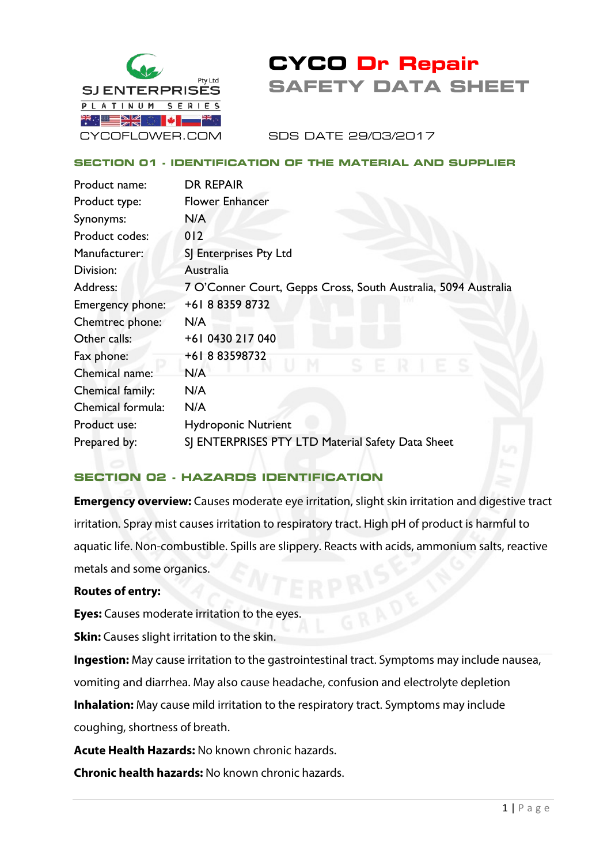

# **CYCO Dr Repair SAFETY DATA SHEET**

SDS DATE 29/03/2017

### **SECTION 01 - IDENTIFICATION OF THE MATERIAL AND SUPPLIER**

| <b>DR REPAIR</b>                                               |
|----------------------------------------------------------------|
| <b>Flower Enhancer</b>                                         |
| N/A                                                            |
| 012                                                            |
| SJ Enterprises Pty Ltd                                         |
| Australia                                                      |
| 7 O'Conner Court, Gepps Cross, South Australia, 5094 Australia |
| +61 8 8359 8732                                                |
| N/A                                                            |
| +61 0430 217 040                                               |
| +61883598732                                                   |
| N/A                                                            |
| N/A                                                            |
| N/A                                                            |
| <b>Hydroponic Nutrient</b>                                     |
| SJ ENTERPRISES PTY LTD Material Safety Data Sheet              |
|                                                                |

### **SECTION 02 - HAZARDS IDENTIFICATION**

**Emergency overview:** Causes moderate eye irritation, slight skin irritation and digestive tract irritation. Spray mist causes irritation to respiratory tract. High pH of product is harmful to aquatic life. Non-combustible. Spills are slippery. Reacts with acids, ammonium salts, reactive metals and some organics.

### **Routes of entry:**

**Eyes:** Causes moderate irritation to the eyes.

**Skin:** Causes slight irritation to the skin.

**Ingestion:** May cause irritation to the gastrointestinal tract. Symptoms may include nausea, vomiting and diarrhea. May also cause headache, confusion and electrolyte depletion

**Inhalation:** May cause mild irritation to the respiratory tract. Symptoms may include coughing, shortness of breath.

**Acute Health Hazards:** No known chronic hazards.

**Chronic health hazards:** No known chronic hazards.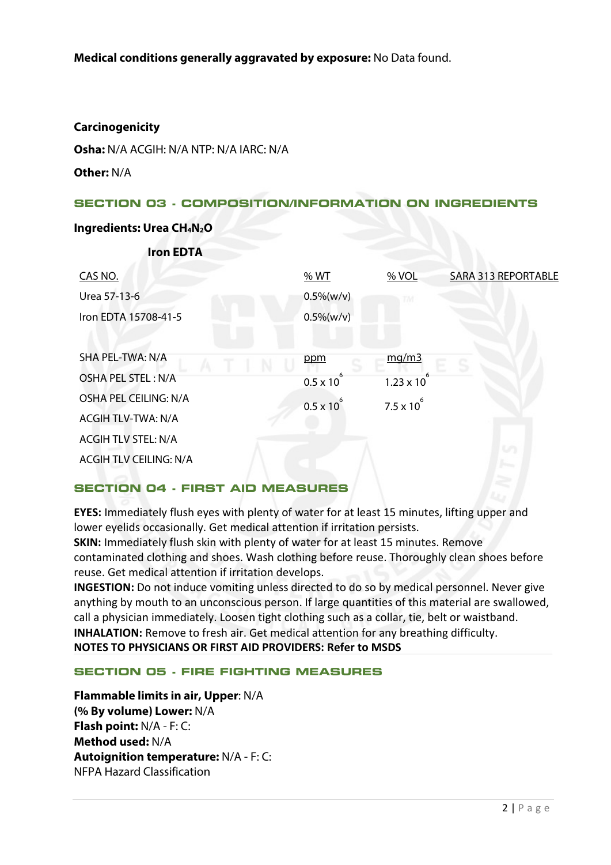### **Carcinogenicity**

**Osha:** N/A ACGIH: N/A NTP: N/A IARC: N/A

**Other:** N/A

### **SECTION 03 - COMPOSITION/INFORMATION ON INGREDIENTS**

#### **Ingredients: Urea CH4N2O**

| <b>Iron EDTA</b>              |                     |                      |                            |
|-------------------------------|---------------------|----------------------|----------------------------|
| CAS NO.                       | % WT                | % VOL                | <b>SARA 313 REPORTABLE</b> |
| Urea 57-13-6                  | $0.5\%$ (w/v)       |                      |                            |
| Iron EDTA 15708-41-5          | $0.5\%$ (w/v)       |                      |                            |
|                               |                     |                      |                            |
| SHA PEL-TWA: N/A              | ppm                 | mg/m3                |                            |
| <b>OSHA PEL STEL: N/A</b>     | $0.5 \times 10^{7}$ | $1.23 \times 10^{7}$ |                            |
| OSHA PEL CEILING: N/A         | $0.5 \times 10^{7}$ | $7.5 \times 10^{6}$  |                            |
| <b>ACGIH TLV-TWA: N/A</b>     |                     |                      |                            |
| <b>ACGIH TLV STEL: N/A</b>    |                     |                      | m                          |
| <b>ACGIH TLV CEILING: N/A</b> |                     |                      |                            |
|                               |                     |                      |                            |

### **SECTION 04 - FIRST AID MEASURES**

**EYES:** Immediately flush eyes with plenty of water for at least 15 minutes, lifting upper and lower eyelids occasionally. Get medical attention if irritation persists.

**SKIN:** Immediately flush skin with plenty of water for at least 15 minutes. Remove contaminated clothing and shoes. Wash clothing before reuse. Thoroughly clean shoes before reuse. Get medical attention if irritation develops.

**INGESTION:** Do not induce vomiting unless directed to do so by medical personnel. Never give anything by mouth to an unconscious person. If large quantities of this material are swallowed, call a physician immediately. Loosen tight clothing such as a collar, tie, belt or waistband. **INHALATION:** Remove to fresh air. Get medical attention for any breathing difficulty. **NOTES TO PHYSICIANS OR FIRST AID PROVIDERS: Refer to MSDS**

### **SECTION 05 - FIRE FIGHTING MEASURES**

**Flammable limits in air, Upper**: N/A **(% By volume) Lower:** N/A **Flash point:** N/A - F: C: **Method used:** N/A **Autoignition temperature:** N/A - F: C: NFPA Hazard Classification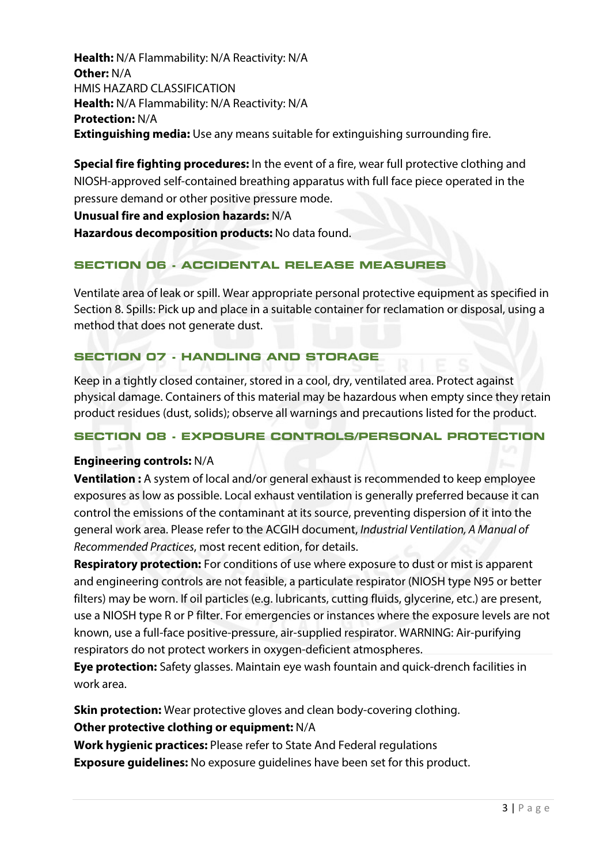**Health:** N/A Flammability: N/A Reactivity: N/A **Other:** N/A HMIS HAZARD CLASSIFICATION **Health:** N/A Flammability: N/A Reactivity: N/A **Protection:** N/A **Extinguishing media:** Use any means suitable for extinguishing surrounding fire.

**Special fire fighting procedures:** In the event of a fire, wear full protective clothing and NIOSH-approved self-contained breathing apparatus with full face piece operated in the pressure demand or other positive pressure mode.

**Unusual fire and explosion hazards:** N/A **Hazardous decomposition products:** No data found.

## **SECTION 06 - ACCIDENTAL RELEASE MEASURES**

Ventilate area of leak or spill. Wear appropriate personal protective equipment as specified in Section 8. Spills: Pick up and place in a suitable container for reclamation or disposal, using a method that does not generate dust.

### **SECTION 07 - HANDLING AND STORAGE**

Keep in a tightly closed container, stored in a cool, dry, ventilated area. Protect against physical damage. Containers of this material may be hazardous when empty since they retain product residues (dust, solids); observe all warnings and precautions listed for the product.

### **SECTION 08 - EXPOSURE CONTROLS/PERSONAL PROTECTION**

### **Engineering controls:** N/A

**Ventilation :** A system of local and/or general exhaust is recommended to keep employee exposures as low as possible. Local exhaust ventilation is generally preferred because it can control the emissions of the contaminant at its source, preventing dispersion of it into the general work area. Please refer to the ACGIH document, *Industrial Ventilation, A Manual of Recommended Practices*, most recent edition, for details.

**Respiratory protection:** For conditions of use where exposure to dust or mist is apparent and engineering controls are not feasible, a particulate respirator (NIOSH type N95 or better filters) may be worn. If oil particles (e.g. lubricants, cutting fluids, glycerine, etc.) are present, use a NIOSH type R or P filter. For emergencies or instances where the exposure levels are not known, use a full-face positive-pressure, air-supplied respirator. WARNING: Air-purifying respirators do not protect workers in oxygen-deficient atmospheres.

**Eye protection:** Safety glasses. Maintain eye wash fountain and quick-drench facilities in work area.

**Skin protection:** Wear protective gloves and clean body-covering clothing. **Other protective clothing or equipment:** N/A

**Work hygienic practices:** Please refer to State And Federal regulations **Exposure guidelines:** No exposure guidelines have been set for this product.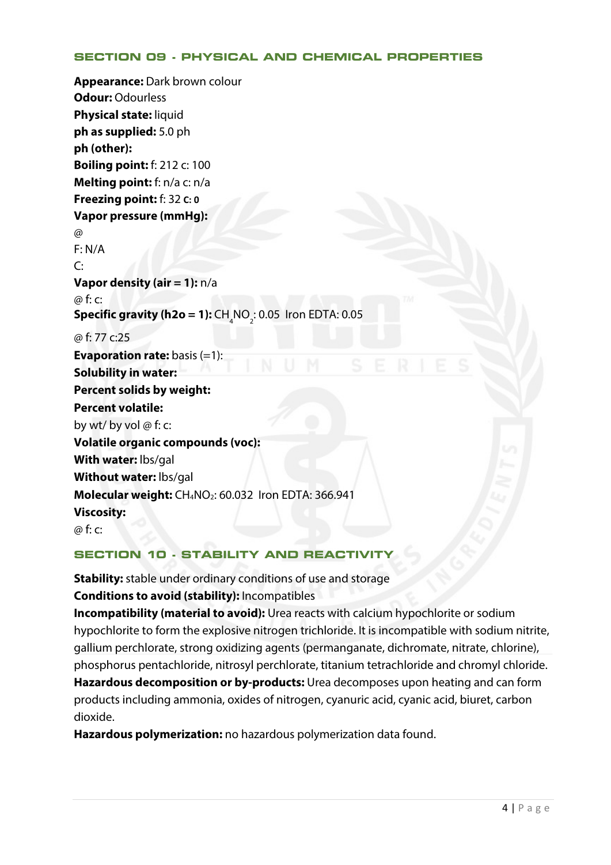### **SECTION 09 - PHYSICAL AND CHEMICAL PROPERTIES**

**Appearance:** Dark brown colour **Odour:** Odourless **Physical state:** liquid **ph as supplied:** 5.0 ph **ph (other): Boiling point:** f: 212 c: 100 **Melting point:** f: n/a c: n/a **Freezing point:** f: 32 **C: 0 Vapor pressure (mmHg):**   $\omega$ F: N/A  $C:$ **Vapor density (air = 1):** n/a @ f: c: **Specific gravity (h2o = 1):**  $CH_4^{\scriptstyle}$ NO<sub>2</sub>: 0.05 Iron EDTA: 0.05 @ f: 77 c:25 **Evaporation rate:** basis (=1): **Solubility in water: Percent solids by weight: Percent volatile:** by wt/ by vol  $\omega$  f: c: **Volatile organic compounds (voc): With water:** lbs/gal **Without water:** lbs/gal **Molecular weight:** CH4NO2: 60.032 Iron EDTA: 366.941 **Viscosity:** @ f: c:

## **SECTION 10 · STABILITY AND REACTIVIT**

**Stability:** stable under ordinary conditions of use and storage **Conditions to avoid (stability):** Incompatibles

**Incompatibility (material to avoid):** Urea reacts with calcium hypochlorite or sodium hypochlorite to form the explosive nitrogen trichloride. It is incompatible with sodium nitrite, gallium perchlorate, strong oxidizing agents (permanganate, dichromate, nitrate, chlorine), phosphorus pentachloride, nitrosyl perchlorate, titanium tetrachloride and chromyl chloride. **Hazardous decomposition or by-products:** Urea decomposes upon heating and can form products including ammonia, oxides of nitrogen, cyanuric acid, cyanic acid, biuret, carbon dioxide.

**Hazardous polymerization:** no hazardous polymerization data found.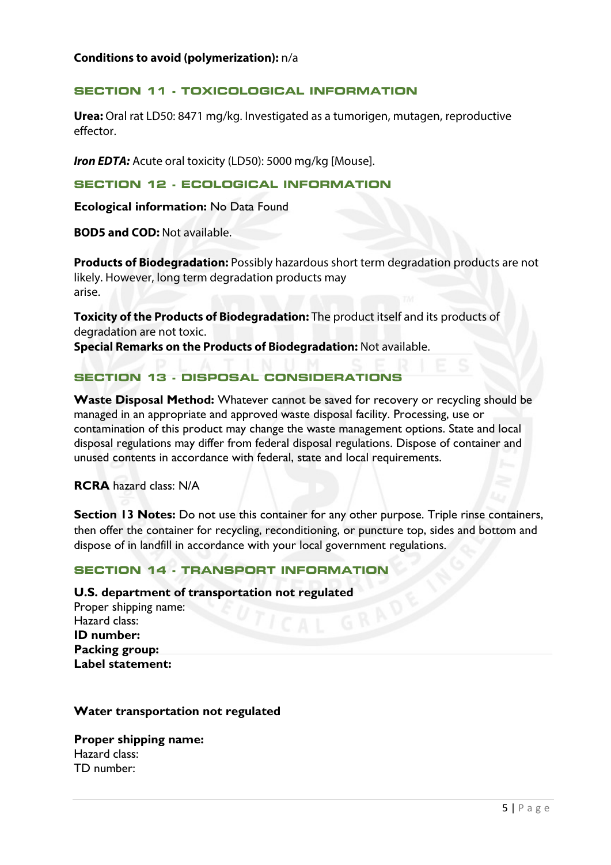#### **SECTION 11 - TOXICOLOGICAL INFORMATION**

**Urea:** Oral rat LD50: 8471 mg/kg. Investigated as a tumorigen, mutagen, reproductive effector.

**Iron EDTA:** Acute oral toxicity (LD50): 5000 mg/kg [Mouse].

#### **SECTION 12 - ECOLOGICAL INFORMATION**

**Ecological information:** No Data Found

**BOD5 and COD:** Not available.

**Products of Biodegradation:** Possibly hazardous short term degradation products are not likely. However, long term degradation products may arise.

**Toxicity of the Products of Biodegradation:** The product itself and its products of degradation are not toxic.

**Special Remarks on the Products of Biodegradation:** Not available.

### **SECTION 13 - DISPOSAL CONSIDERATIONS**

**Waste Disposal Method:** Whatever cannot be saved for recovery or recycling should be managed in an appropriate and approved waste disposal facility. Processing, use or contamination of this product may change the waste management options. State and local disposal regulations may differ from federal disposal regulations. Dispose of container and unused contents in accordance with federal, state and local requirements.

**RCRA** hazard class: N/A

**Section 13 Notes:** Do not use this container for any other purpose. Triple rinse containers, then offer the container for recycling, reconditioning, or puncture top, sides and bottom and dispose of in landfill in accordance with your local government regulations.

### **SECTION 14 - TRANSPORT INFORMATION**

#### **U.S. department of transportation not regulated**

Proper shipping name: Hazard class: **ID number: Packing group: Label statement:**

#### **Water transportation not regulated**

**Proper shipping name:**  Hazard class: TD number: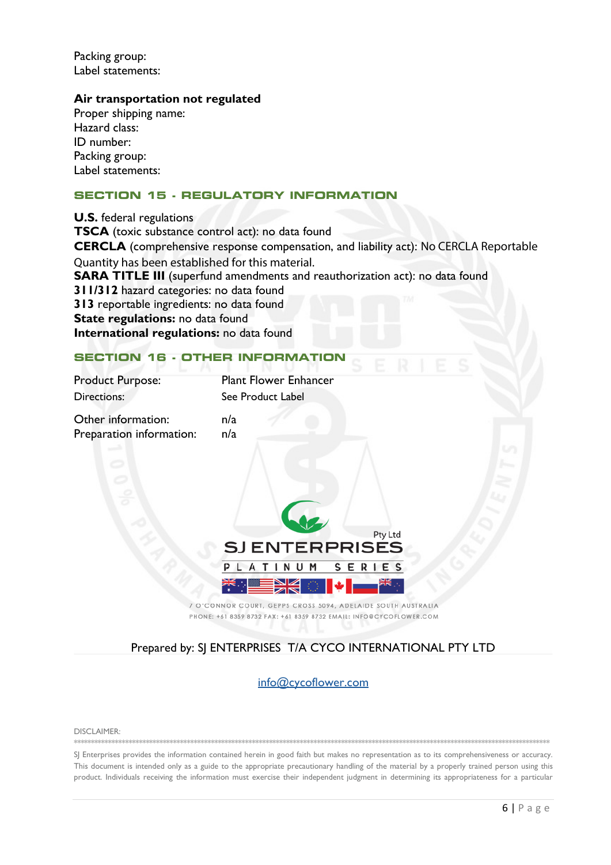Packing group: Label statements:

#### **Air transportation not regulated**

Proper shipping name: Hazard class: ID number: Packing group: Label statements:

#### **SECTION 15 - REGULATORY INFORMATION**

**U.S.** federal regulations **TSCA** (toxic substance control act): no data found **CERCLA** (comprehensive response compensation, and liability act): No CERCLA Reportable Quantity has been established for this material. **SARA TITLE III** (superfund amendments and reauthorization act): no data found **311/312** hazard categories: no data found **313** reportable ingredients: no data found **State regulations:** no data found **International regulations:** no data found

### **SECTION 16 - OTHER INFORMATION**

| <b>Product Purpose:</b> | <b>Plant Flower Enhancer</b> |
|-------------------------|------------------------------|
| Directions:             | See Product Label            |
| Other information:      | n/a                          |

Preparation information: n/a



7 O'CONNOR COURT, GEPPS CROSS 5094, ADELAIDE SOUTH AUSTRALIA PHONE: +61 8359 8732 FAX: +61 8359 8732 EMAIL: INFO@CYCOFLOWER.COM

### Prepared by: SJ ENTERPRISES T/A CYCO INTERNATIONAL PTY LTD

info@cycoflower.com

DISCLAIMER: \*\*\*\*\*\*\*\*\*\*\*\*\*\*\*\*\*\*\*\*\*\*\*\*\*\*\*\*\*\*\*\*\*\*\*\*\*\*\*\*\*\*\*\*\*\*\*\*\*\*\*\*\*\*\*\*\*\*\*\*\*\*\*\*\*\*\*\*\*\*\*\*\*\*\*\*\*\*\*\*\*\*\*\*\*\*\*\*\*\*\*\*\*\*\*\*\*\*\*\*\*\*\*\*\*\*\*\*\*\*\*\*\*\*\*\*\*\*\*\*\*\*\*\*\*\*\*\*\*\*\*\*\*\*\*\*\*\*\*

SJ Enterprises provides the information contained herein in good faith but makes no representation as to its comprehensiveness or accuracy. This document is intended only as a guide to the appropriate precautionary handling of the material by a properly trained person using this product. Individuals receiving the information must exercise their independent judgment in determining its appropriateness for a particular